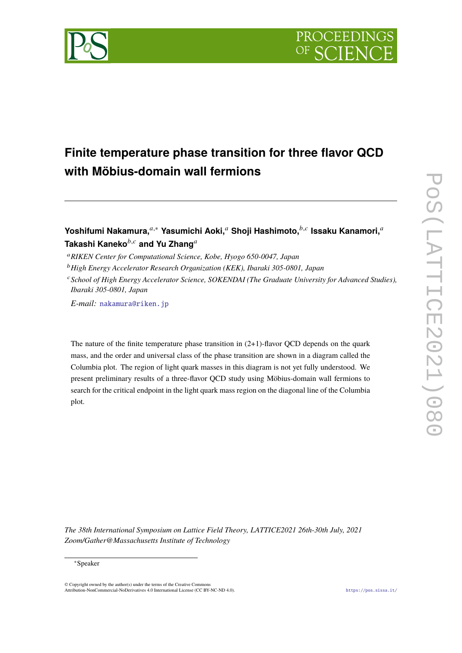

# **Finite temperature phase transition for three flavor QCD with Möbius-domain wall fermions**

**Yoshifumi Nakamura,**<sup>a,∗</sup> Yasumichi Aoki,<sup>a</sup> Shoji Hashimoto,<sup>*b,c*</sup> Issaku Kanamori,<sup>a</sup> Takashi Kaneko<sup>b,c</sup> and Yu Zhang<sup>a</sup>

<sup>𝑎</sup>*RIKEN Center for Computational Science, Kobe, Hyogo 650-0047, Japan*

<sup>𝑏</sup>*High Energy Accelerator Research Organization (KEK), Ibaraki 305-0801, Japan*

*E-mail:* [nakamura@riken.jp](mailto:nakamura@riken.jp)

The nature of the finite temperature phase transition in  $(2+1)$ -flavor QCD depends on the quark mass, and the order and universal class of the phase transition are shown in a diagram called the Columbia plot. The region of light quark masses in this diagram is not yet fully understood. We present preliminary results of a three-flavor QCD study using Möbius-domain wall fermions to search for the critical endpoint in the light quark mass region on the diagonal line of the Columbia plot.

*The 38th International Symposium on Lattice Field Theory, LATTICE2021 26th-30th July, 2021 Zoom/Gather@Massachusetts Institute of Technology*

### <sup>∗</sup>Speaker

© Copyright owned by the author(s) under the terms of the Creative Commons Attribution-NonCommercial-NoDerivatives 4.0 International License (CC BY-NC-ND 4.0). <https://pos.sissa.it/>

<sup>𝑐</sup>*School of High Energy Accelerator Science, SOKENDAI (The Graduate University for Advanced Studies), Ibaraki 305-0801, Japan*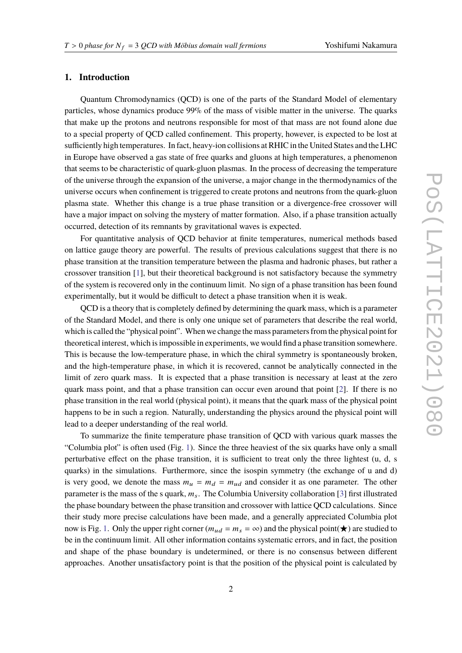# **1. Introduction**

Quantum Chromodynamics (QCD) is one of the parts of the Standard Model of elementary particles, whose dynamics produce 99% of the mass of visible matter in the universe. The quarks that make up the protons and neutrons responsible for most of that mass are not found alone due to a special property of QCD called confinement. This property, however, is expected to be lost at sufficiently high temperatures. In fact, heavy-ion collisions at RHIC in the United States and the LHC in Europe have observed a gas state of free quarks and gluons at high temperatures, a phenomenon that seems to be characteristic of quark-gluon plasmas. In the process of decreasing the temperature of the universe through the expansion of the universe, a major change in the thermodynamics of the universe occurs when confinement is triggered to create protons and neutrons from the quark-gluon plasma state. Whether this change is a true phase transition or a divergence-free crossover will have a major impact on solving the mystery of matter formation. Also, if a phase transition actually occurred, detection of its remnants by gravitational waves is expected.

For quantitative analysis of QCD behavior at finite temperatures, numerical methods based on lattice gauge theory are powerful. The results of previous calculations suggest that there is no phase transition at the transition temperature between the plasma and hadronic phases, but rather a crossover transition [\[1\]](#page-3-0), but their theoretical background is not satisfactory because the symmetry of the system is recovered only in the continuum limit. No sign of a phase transition has been found experimentally, but it would be difficult to detect a phase transition when it is weak.

QCD is a theory that is completely defined by determining the quark mass, which is a parameter of the Standard Model, and there is only one unique set of parameters that describe the real world, which is called the "physical point". When we change the mass parameters from the physical point for theoretical interest, which is impossible in experiments, we would find a phase transition somewhere. This is because the low-temperature phase, in which the chiral symmetry is spontaneously broken, and the high-temperature phase, in which it is recovered, cannot be analytically connected in the limit of zero quark mass. It is expected that a phase transition is necessary at least at the zero quark mass point, and that a phase transition can occur even around that point [\[2\]](#page-3-1). If there is no phase transition in the real world (physical point), it means that the quark mass of the physical point happens to be in such a region. Naturally, understanding the physics around the physical point will lead to a deeper understanding of the real world.

To summarize the finite temperature phase transition of QCD with various quark masses the "Columbia plot" is often used (Fig. [1\)](#page-2-0). Since the three heaviest of the six quarks have only a small perturbative effect on the phase transition, it is sufficient to treat only the three lightest (u, d, s quarks) in the simulations. Furthermore, since the isospin symmetry (the exchange of u and d) is very good, we denote the mass  $m_u = m_d = m_{ud}$  and consider it as one parameter. The other parameter is the mass of the s quark,  $m<sub>s</sub>$ . The Columbia University collaboration [\[3\]](#page-3-2) first illustrated the phase boundary between the phase transition and crossover with lattice QCD calculations. Since their study more precise calculations have been made, and a generally appreciated Columbia plot now is Fig. [1.](#page-2-0) Only the upper right corner ( $m_{ud} = m_s = \infty$ ) and the physical point( $\star$ ) are studied to be in the continuum limit. All other information contains systematic errors, and in fact, the position and shape of the phase boundary is undetermined, or there is no consensus between different approaches. Another unsatisfactory point is that the position of the physical point is calculated by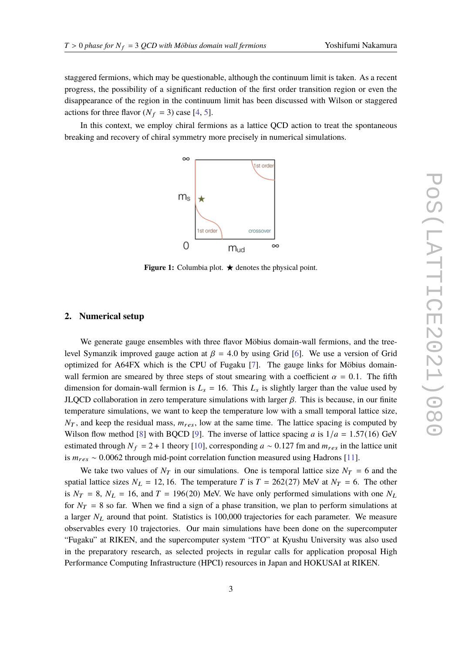staggered fermions, which may be questionable, although the continuum limit is taken. As a recent progress, the possibility of a significant reduction of the first order transition region or even the disappearance of the region in the continuum limit has been discussed with Wilson or staggered actions for three flavor  $(N_f = 3)$  case [\[4,](#page-3-3) [5\]](#page-3-4).

<span id="page-2-0"></span>In this context, we employ chiral fermions as a lattice QCD action to treat the spontaneous breaking and recovery of chiral symmetry more precisely in numerical simulations.



**Figure 1:** Columbia plot.  $\star$  denotes the physical point.

#### **2. Numerical setup**

We generate gauge ensembles with three flavor Möbius domain-wall fermions, and the treelevel Symanzik improved gauge action at  $\beta = 4.0$  by using Grid [\[6\]](#page-6-0). We use a version of Grid optimized for A64FX which is the CPU of Fugaku [\[7\]](#page-6-1). The gauge links for Möbius domainwall fermion are smeared by three steps of stout smearing with a coefficient  $\alpha = 0.1$ . The fifth dimension for domain-wall fermion is  $L_s = 16$ . This  $L_s$  is slightly larger than the value used by JLQCD collaboration in zero temperature simulations with larger  $\beta$ . This is because, in our finite temperature simulations, we want to keep the temperature low with a small temporal lattice size,  $N_T$ , and keep the residual mass,  $m_{res}$ , low at the same time. The lattice spacing is computed by Wilson flow method [\[8\]](#page-6-2) with BQCD [\[9\]](#page-6-3). The inverse of lattice spacing a is  $1/a = 1.57(16)$  GeV estimated through  $N_f = 2 + 1$  theory [\[10\]](#page-6-4), corresponding  $a \sim 0.127$  fm and  $m_{res}$  in the lattice unit is  $m_{res} \sim 0.0062$  through mid-point correlation function measured using Hadrons [\[11\]](#page-6-5).

We take two values of  $N_T$  in our simulations. One is temporal lattice size  $N_T = 6$  and the spatial lattice sizes  $N_L = 12, 16$ . The temperature T is  $T = 262(27)$  MeV at  $N_T = 6$ . The other is  $N_T = 8$ ,  $N_L = 16$ , and  $T = 196(20)$  MeV. We have only performed simulations with one  $N_L$ for  $N_T = 8$  so far. When we find a sign of a phase transition, we plan to perform simulations at a larger  $N_L$  around that point. Statistics is 100,000 trajectories for each parameter. We measure observables every 10 trajectories. Our main simulations have been done on the supercomputer "Fugaku" at RIKEN, and the supercomputer system "ITO" at Kyushu University was also used in the preparatory research, as selected projects in regular calls for application proposal High Performance Computing Infrastructure (HPCI) resources in Japan and HOKUSAI at RIKEN.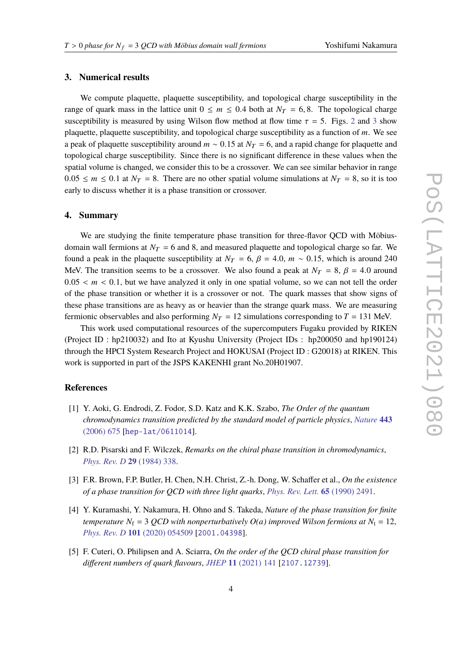## **3. Numerical results**

We compute plaquette, plaquette susceptibility, and topological charge susceptibility in the range of quark mass in the lattice unit  $0 \le m \le 0.4$  both at  $N_T = 6, 8$ . The topological charge susceptibility is measured by using Wilson flow method at flow time  $\tau = 5$ . Figs. [2](#page-4-0) and [3](#page-5-0) show plaquette, plaquette susceptibility, and topological charge susceptibility as a function of  $m$ . We see a peak of plaquette susceptibility around  $m \sim 0.15$  at  $N_T = 6$ , and a rapid change for plaquette and topological charge susceptibility. Since there is no significant difference in these values when the spatial volume is changed, we consider this to be a crossover. We can see similar behavior in range  $0.05 \le m \le 0.1$  at  $N_T = 8$ . There are no other spatial volume simulations at  $N_T = 8$ , so it is too early to discuss whether it is a phase transition or crossover.

### **4. Summary**

We are studying the finite temperature phase transition for three-flavor QCD with Möbiusdomain wall fermions at  $N_T = 6$  and 8, and measured plaquette and topological charge so far. We found a peak in the plaquette susceptibility at  $N_T = 6$ ,  $\beta = 4.0$ ,  $m \sim 0.15$ , which is around 240 MeV. The transition seems to be a crossover. We also found a peak at  $N_T = 8$ ,  $\beta = 4.0$  around  $0.05 < m < 0.1$ , but we have analyzed it only in one spatial volume, so we can not tell the order of the phase transition or whether it is a crossover or not. The quark masses that show signs of these phase transitions are as heavy as or heavier than the strange quark mass. We are measuring fermionic observables and also performing  $N_T = 12$  simulations corresponding to  $T = 131$  MeV.

This work used computational resources of the supercomputers Fugaku provided by RIKEN (Project ID : hp210032) and Ito at Kyushu University (Project IDs : hp200050 and hp190124) through the HPCI System Research Project and HOKUSAI (Project ID : G20018) at RIKEN. This work is supported in part of the JSPS KAKENHI grant No.20H01907.

# **References**

- <span id="page-3-0"></span>[1] Y. Aoki, G. Endrodi, Z. Fodor, S.D. Katz and K.K. Szabo, *The Order of the quantum chromodynamics transition predicted by the standard model of particle physics*, *[Nature](https://doi.org/10.1038/nature05120)* **443** [\(2006\) 675](https://doi.org/10.1038/nature05120) [[hep-lat/0611014](https://arxiv.org/abs/hep-lat/0611014)].
- <span id="page-3-1"></span>[2] R.D. Pisarski and F. Wilczek, *Remarks on the chiral phase transition in chromodynamics*, *[Phys. Rev. D](https://doi.org/10.1103/PhysRevD.29.338)* **29** (1984) 338.
- <span id="page-3-2"></span>[3] F.R. Brown, F.P. Butler, H. Chen, N.H. Christ, Z.-h. Dong, W. Schaffer et al., *On the existence of a phase transition for QCD with three light quarks*, *[Phys. Rev. Lett.](https://doi.org/10.1103/PhysRevLett.65.2491)* **65** (1990) 2491.
- <span id="page-3-3"></span>[4] Y. Kuramashi, Y. Nakamura, H. Ohno and S. Takeda, *Nature of the phase transition for finite temperature*  $N_f = 3$  *QCD with nonperturbatively O(a) improved Wilson fermions at*  $N_t = 12$ , *Phys. Rev. D* **101** [\(2020\) 054509](https://doi.org/10.1103/PhysRevD.101.054509) [[2001.04398](https://arxiv.org/abs/2001.04398)].
- <span id="page-3-4"></span>[5] F. Cuteri, O. Philipsen and A. Sciarra, *On the order of the QCD chiral phase transition for different numbers of quark flavours*, *JHEP* **11** [\(2021\) 141](https://doi.org/10.1007/JHEP11(2021)141) [[2107.12739](https://arxiv.org/abs/2107.12739)].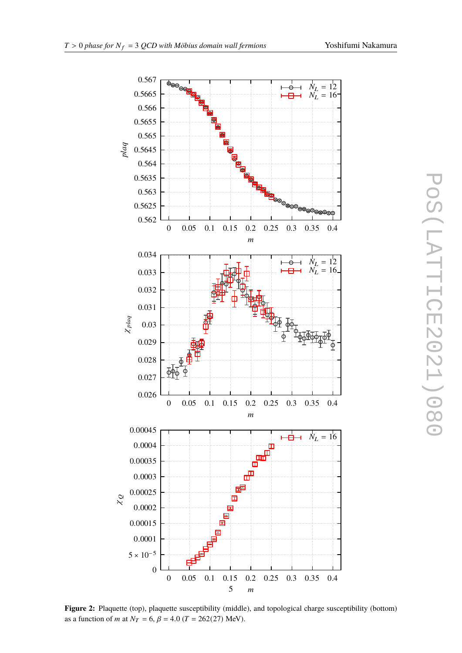<span id="page-4-0"></span>

**Figure 2:** Plaquette (top), plaquette susceptibility (middle), and topological charge susceptibility (bottom) as a function of *m* at  $N_T = 6$ ,  $\beta = 4.0$  (*T* = 262(27) MeV).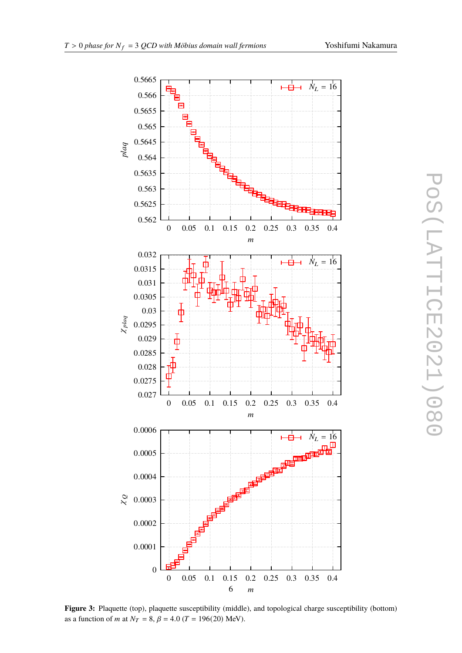<span id="page-5-0"></span>

**Figure 3:** Plaquette (top), plaquette susceptibility (middle), and topological charge susceptibility (bottom) as a function of *m* at  $N_T = 8$ ,  $\beta = 4.0$  (*T* = 196(20) MeV).